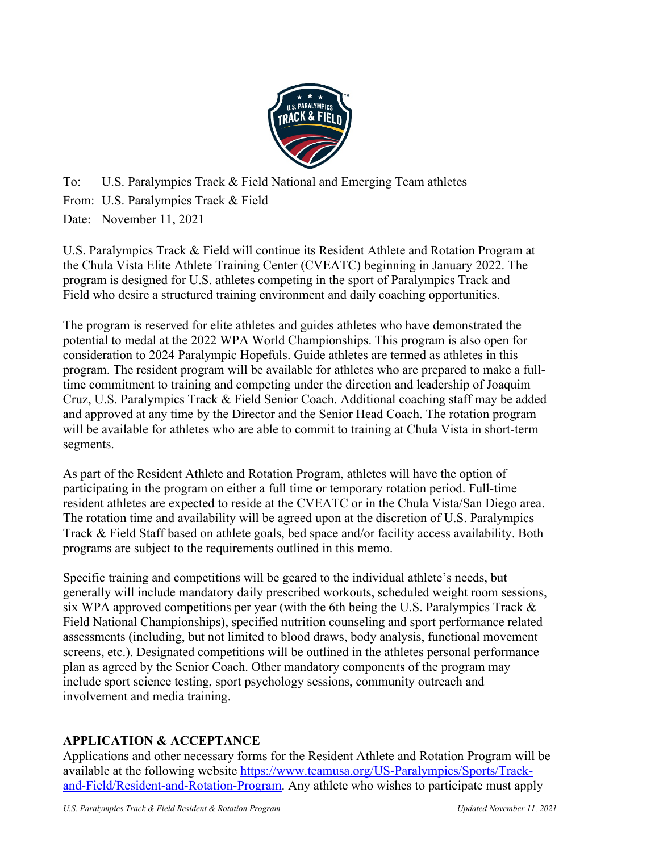

To: U.S. Paralympics Track & Field National and Emerging Team athletes From: U.S. Paralympics Track & Field Date: November 11, 2021

U.S. Paralympics Track & Field will continue its Resident Athlete and Rotation Program at the Chula Vista Elite Athlete Training Center (CVEATC) beginning in January 2022. The program is designed for U.S. athletes competing in the sport of Paralympics Track and Field who desire a structured training environment and daily coaching opportunities.

The program is reserved for elite athletes and guides athletes who have demonstrated the potential to medal at the 2022 WPA World Championships. This program is also open for consideration to 2024 Paralympic Hopefuls. Guide athletes are termed as athletes in this program. The resident program will be available for athletes who are prepared to make a fulltime commitment to training and competing under the direction and leadership of Joaquim Cruz, U.S. Paralympics Track & Field Senior Coach. Additional coaching staff may be added and approved at any time by the Director and the Senior Head Coach. The rotation program will be available for athletes who are able to commit to training at Chula Vista in short-term segments.

As part of the Resident Athlete and Rotation Program, athletes will have the option of participating in the program on either a full time or temporary rotation period. Full-time resident athletes are expected to reside at the CVEATC or in the Chula Vista/San Diego area. The rotation time and availability will be agreed upon at the discretion of U.S. Paralympics Track & Field Staff based on athlete goals, bed space and/or facility access availability. Both programs are subject to the requirements outlined in this memo.

Specific training and competitions will be geared to the individual athlete's needs, but generally will include mandatory daily prescribed workouts, scheduled weight room sessions, six WPA approved competitions per year (with the 6th being the U.S. Paralympics Track  $\&$ Field National Championships), specified nutrition counseling and sport performance related assessments (including, but not limited to blood draws, body analysis, functional movement screens, etc.). Designated competitions will be outlined in the athletes personal performance plan as agreed by the Senior Coach. Other mandatory components of the program may include sport science testing, sport psychology sessions, community outreach and involvement and media training.

# **APPLICATION & ACCEPTANCE**

Applications and other necessary forms for the Resident Athlete and Rotation Program will be [available at the following website https://www.teamusa.org/US-Paralympics/Sports/Track](https://www.teamusa.org/US-Paralympics/Sports/Track-and-Field/Resident-and-Rotation-Program)and-Field/Resident-and-Rotation-Program. Any athlete who wishes to participate must apply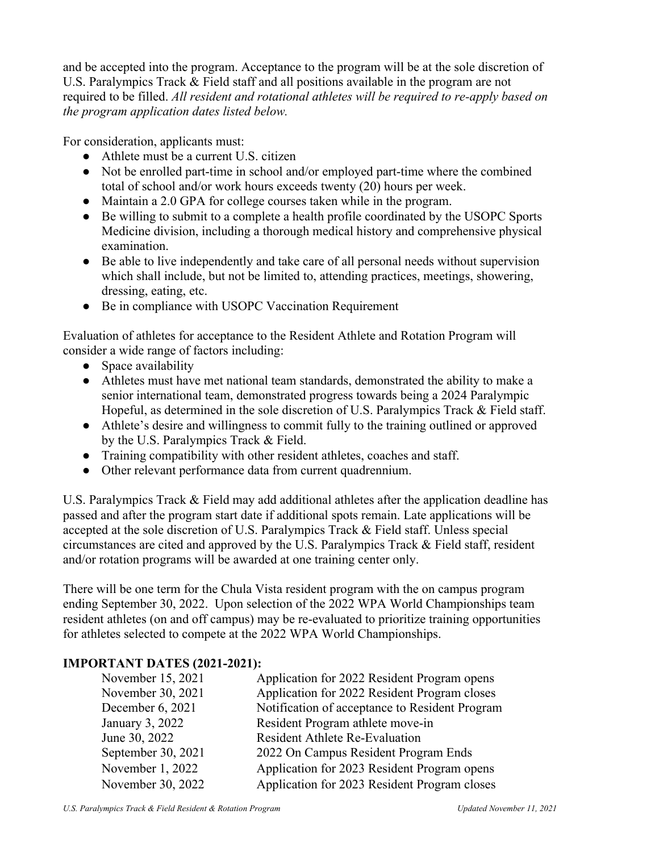and be accepted into the program. Acceptance to the program will be at the sole discretion of U.S. Paralympics Track & Field staff and all positions available in the program are not required to be filled. *All resident and rotational athletes will be required to re-apply based on the program application dates listed below.* 

For consideration, applicants must:

- Athlete must be a current U.S. citizen
- Not be enrolled part-time in school and/or employed part-time where the combined total of school and/or work hours exceeds twenty (20) hours per week.
- Maintain a 2.0 GPA for college courses taken while in the program.
- Be willing to submit to a complete a health profile coordinated by the USOPC Sports Medicine division, including a thorough medical history and comprehensive physical examination.
- Be able to live independently and take care of all personal needs without supervision which shall include, but not be limited to, attending practices, meetings, showering, dressing, eating, etc.
- Be in compliance with USOPC Vaccination Requirement

Evaluation of athletes for acceptance to the Resident Athlete and Rotation Program will consider a wide range of factors including:

- Space availability
- Athletes must have met national team standards, demonstrated the ability to make a senior international team, demonstrated progress towards being a 2024 Paralympic Hopeful, as determined in the sole discretion of U.S. Paralympics Track & Field staff.
- Athlete's desire and willingness to commit fully to the training outlined or approved by the U.S. Paralympics Track & Field.
- Training compatibility with other resident athletes, coaches and staff.
- Other relevant performance data from current quadrennium.

U.S. Paralympics Track & Field may add additional athletes after the application deadline has passed and after the program start date if additional spots remain. Late applications will be accepted at the sole discretion of U.S. Paralympics Track & Field staff. Unless special circumstances are cited and approved by the U.S. Paralympics Track & Field staff, resident and/or rotation programs will be awarded at one training center only.

There will be one term for the Chula Vista resident program with the on campus program ending September 30, 2022. Upon selection of the 2022 WPA World Championships team resident athletes (on and off campus) may be re-evaluated to prioritize training opportunities for athletes selected to compete at the 2022 WPA World Championships.

## **IMPORTANT DATES (2021-2021):**

| Application for 2022 Resident Program opens    |
|------------------------------------------------|
| Application for 2022 Resident Program closes   |
| Notification of acceptance to Resident Program |
| Resident Program athlete move-in               |
| <b>Resident Athlete Re-Evaluation</b>          |
| 2022 On Campus Resident Program Ends           |
| Application for 2023 Resident Program opens    |
| Application for 2023 Resident Program closes   |
|                                                |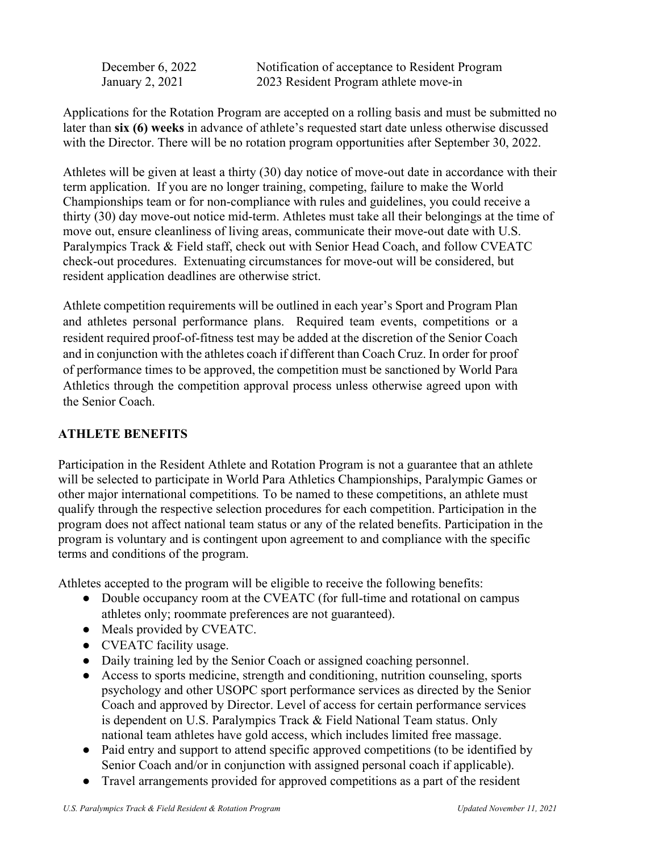December 6, 2022 Notification of acceptance to Resident Program January 2, 2021 2023 Resident Program athlete move-in

Applications for the Rotation Program are accepted on a rolling basis and must be submitted no later than **six (6) weeks** in advance of athlete's requested start date unless otherwise discussed with the Director. There will be no rotation program opportunities after September 30, 2022.

Athletes will be given at least a thirty (30) day notice of move-out date in accordance with their term application. If you are no longer training, competing, failure to make the World Championships team or for non-compliance with rules and guidelines, you could receive a thirty (30) day move-out notice mid-term. Athletes must take all their belongings at the time of move out, ensure cleanliness of living areas, communicate their move-out date with U.S. Paralympics Track & Field staff, check out with Senior Head Coach, and follow CVEATC check-out procedures. Extenuating circumstances for move-out will be considered, but resident application deadlines are otherwise strict.

Athlete competition requirements will be outlined in each year's Sport and Program Plan and athletes personal performance plans. Required team events, competitions or a resident required proof-of-fitness test may be added at the discretion of the Senior Coach and in conjunction with the athletes coach if different than Coach Cruz. In order for proof of performance times to be approved, the competition must be sanctioned by World Para Athletics through the competition approval process unless otherwise agreed upon with the Senior Coach.

## **ATHLETE BENEFITS**

Participation in the Resident Athlete and Rotation Program is not a guarantee that an athlete will be selected to participate in World Para Athletics Championships, Paralympic Games or other major international competitions*.* To be named to these competitions, an athlete must qualify through the respective selection procedures for each competition. Participation in the program does not affect national team status or any of the related benefits. Participation in the program is voluntary and is contingent upon agreement to and compliance with the specific terms and conditions of the program.

Athletes accepted to the program will be eligible to receive the following benefits:

- Double occupancy room at the CVEATC (for full-time and rotational on campus athletes only; roommate preferences are not guaranteed).
- Meals provided by CVEATC.
- CVEATC facility usage.
- Daily training led by the Senior Coach or assigned coaching personnel.
- Access to sports medicine, strength and conditioning, nutrition counseling, sports psychology and other USOPC sport performance services as directed by the Senior Coach and approved by Director. Level of access for certain performance services is dependent on U.S. Paralympics Track & Field National Team status. Only national team athletes have gold access, which includes limited free massage.
- Paid entry and support to attend specific approved competitions (to be identified by Senior Coach and/or in conjunction with assigned personal coach if applicable).
- Travel arrangements provided for approved competitions as a part of the resident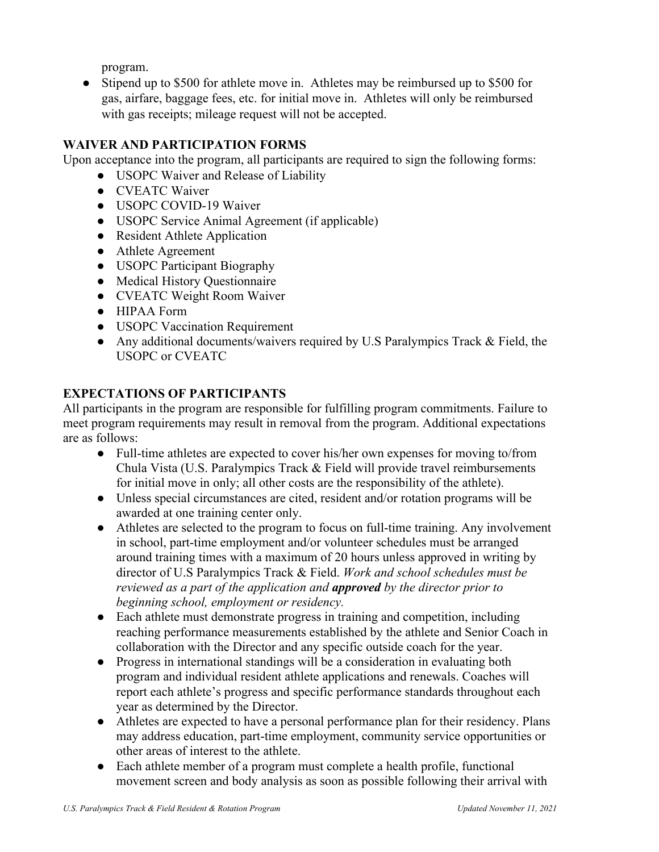program.

• Stipend up to \$500 for athlete move in. Athletes may be reimbursed up to \$500 for gas, airfare, baggage fees, etc. for initial move in. Athletes will only be reimbursed with gas receipts; mileage request will not be accepted.

# **WAIVER AND PARTICIPATION FORMS**

Upon acceptance into the program, all participants are required to sign the following forms:

- USOPC Waiver and Release of Liability
- CVEATC Waiver
- USOPC COVID-19 Waiver
- USOPC Service Animal Agreement (if applicable)
- Resident Athlete Application
- Athlete Agreement
- USOPC Participant Biography
- Medical History Questionnaire
- CVEATC Weight Room Waiver
- HIPAA Form
- USOPC Vaccination Requirement
- Any additional documents/waivers required by U.S Paralympics Track & Field, the USOPC or CVEATC

## **EXPECTATIONS OF PARTICIPANTS**

All participants in the program are responsible for fulfilling program commitments. Failure to meet program requirements may result in removal from the program. Additional expectations are as follows:

- Full-time athletes are expected to cover his/her own expenses for moving to/from Chula Vista (U.S. Paralympics Track & Field will provide travel reimbursements for initial move in only; all other costs are the responsibility of the athlete).
- Unless special circumstances are cited, resident and/or rotation programs will be awarded at one training center only.
- Athletes are selected to the program to focus on full-time training. Any involvement in school, part-time employment and/or volunteer schedules must be arranged around training times with a maximum of 20 hours unless approved in writing by director of U.S Paralympics Track & Field. *Work and school schedules must be reviewed as a part of the application and approved by the director prior to beginning school, employment or residency.*
- Each athlete must demonstrate progress in training and competition, including reaching performance measurements established by the athlete and Senior Coach in collaboration with the Director and any specific outside coach for the year.
- Progress in international standings will be a consideration in evaluating both program and individual resident athlete applications and renewals. Coaches will report each athlete's progress and specific performance standards throughout each year as determined by the Director.
- Athletes are expected to have a personal performance plan for their residency. Plans may address education, part-time employment, community service opportunities or other areas of interest to the athlete.
- Each athlete member of a program must complete a health profile, functional movement screen and body analysis as soon as possible following their arrival with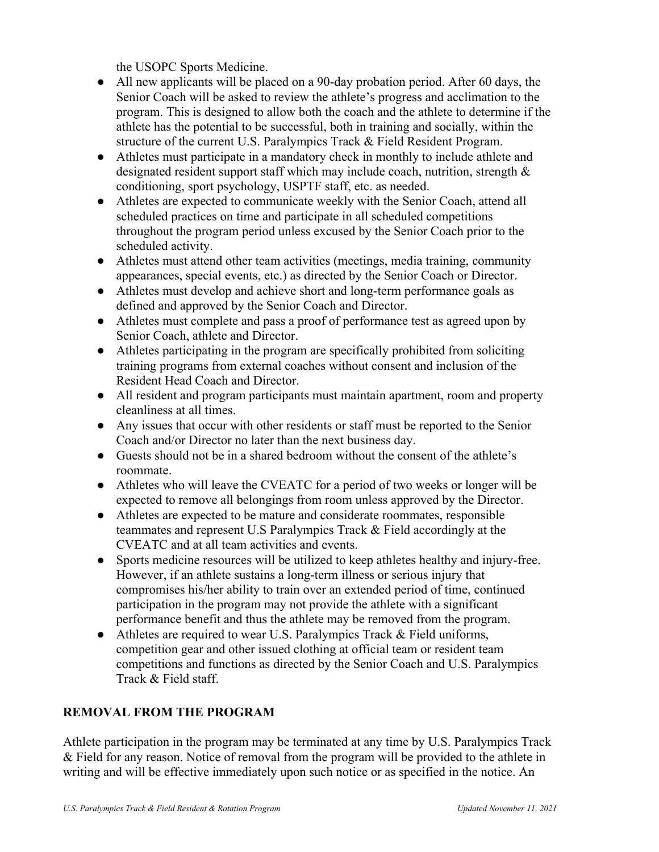the USOPC Sports Medicine.

- All new applicants will be placed on a 90-day probation period. After 60 days, the Senior Coach will be asked to review the athlete's progress and acclimation to the program. This is designed to allow both the coach and the athlete to determine if the athlete has the potential to be successful, both in training and socially, within the structure of the current U.S. Paralympics Track & Field Resident Program.
- Athletes must participate in a mandatory check in monthly to include athlete and designated resident support staff which may include coach, nutrition, strength & conditioning, sport psychology, USPTF staff, etc. as needed.
- Athletes are expected to communicate weekly with the Senior Coach, attend all scheduled practices on time and participate in all scheduled competitions throughout the program period unless excused by the Senior Coach prior to the scheduled activity.
- Athletes must attend other team activities (meetings, media training, community appearances, special events, etc.) as directed by the Senior Coach or Director.
- Athletes must develop and achieve short and long-term performance goals as defined and approved by the Senior Coach and Director.
- Athletes must complete and pass a proof of performance test as agreed upon by Senior Coach, athlete and Director.
- Athletes participating in the program are specifically prohibited from soliciting training programs from external coaches without consent and inclusion of the Resident Head Coach and Director.
- All resident and program participants must maintain apartment, room and property cleanliness at all times.
- Any issues that occur with other residents or staff must be reported to the Senior Coach and/or Director no later than the next business day.
- Guests should not be in a shared bedroom without the consent of the athlete's roommate.
- Athletes who will leave the CVEATC for a period of two weeks or longer will be expected to remove all belongings from room unless approved by the Director.
- Athletes are expected to be mature and considerate roommates, responsible teammates and represent U.S Paralympics Track & Field accordingly at the CVEATC and at all team activities and events.
- Sports medicine resources will be utilized to keep athletes healthy and injury-free. However, if an athlete sustains a long-term illness or serious injury that compromises his/her ability to train over an extended period of time, continued participation in the program may not provide the athlete with a significant performance benefit and thus the athlete may be removed from the program.
- Athletes are required to wear U.S. Paralympics Track & Field uniforms, competition gear and other issued clothing at official team or resident team competitions and functions as directed by the Senior Coach and U.S. Paralympics Track & Field staff.

## **REMOVAL FROM THE PROGRAM**

Athlete participation in the program may be terminated at any time by U.S. Paralympics Track & Field for any reason. Notice of removal from the program will be provided to the athlete in writing and will be effective immediately upon such notice or as specified in the notice. An